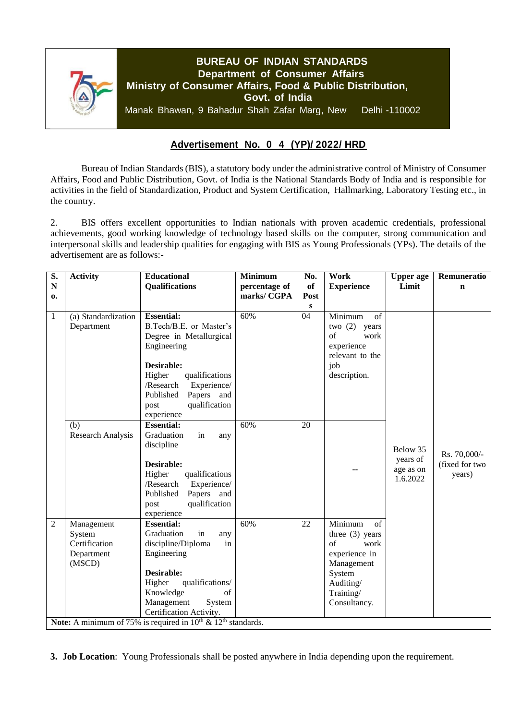

## **Advertisement No. 0 4 (YP)/ 2022/ HRD**

Bureau of Indian Standards (BIS), a statutory body under the administrative control of Ministry of Consumer Affairs, Food and Public Distribution, Govt. of India is the National Standards Body of India and is responsible for activities in the field of Standardization, Product and System Certification, Hallmarking, Laboratory Testing etc., in the country.

2. BIS offers excellent opportunities to Indian nationals with proven academic credentials, professional achievements, good working knowledge of technology based skills on the computer, strong communication and interpersonal skills and leadership qualities for engaging with BIS as Young Professionals (YPs). The details of the advertisement are as follows:-

| $\overline{\mathbf{S}}$ .                                                           | <b>Activity</b>     | <b>Educational</b>              | <b>Minimum</b> | No.             | Work               | <b>Upper</b> age | Remuneratio    |
|-------------------------------------------------------------------------------------|---------------------|---------------------------------|----------------|-----------------|--------------------|------------------|----------------|
| ${\bf N}$                                                                           |                     | <b>Qualifications</b>           | percentage of  | of              | <b>Experience</b>  | Limit            | $\mathbf n$    |
| 0.                                                                                  |                     |                                 | marks/CGPA     | Post            |                    |                  |                |
|                                                                                     |                     |                                 |                | ${\bf S}$       |                    |                  |                |
| 1                                                                                   | (a) Standardization | <b>Essential:</b>               | 60%            | 04              | Minimum<br>of      |                  |                |
|                                                                                     | Department          | B.Tech/B.E. or Master's         |                |                 | two $(2)$<br>years |                  |                |
|                                                                                     |                     | Degree in Metallurgical         |                |                 | $\sigma$ f<br>work |                  |                |
|                                                                                     |                     | Engineering                     |                |                 | experience         |                  |                |
|                                                                                     |                     |                                 |                |                 | relevant to the    |                  |                |
|                                                                                     |                     | Desirable:                      |                |                 | job                |                  |                |
|                                                                                     |                     | Higher<br>qualifications        |                |                 | description.       |                  |                |
|                                                                                     |                     | /Research<br>Experience/        |                |                 |                    |                  |                |
|                                                                                     |                     | Published<br>Papers and         |                |                 |                    |                  |                |
|                                                                                     |                     | qualification<br>post           |                |                 |                    |                  |                |
|                                                                                     | (b)                 | experience<br><b>Essential:</b> | 60%            | $\overline{20}$ |                    |                  |                |
|                                                                                     | Research Analysis   | Graduation<br>in                |                |                 |                    |                  |                |
|                                                                                     |                     | any<br>discipline               |                |                 |                    |                  |                |
|                                                                                     |                     |                                 |                |                 |                    | Below 35         | Rs. 70,000/-   |
|                                                                                     |                     | Desirable:                      |                |                 |                    | years of         | (fixed for two |
|                                                                                     |                     | Higher<br>qualifications        |                |                 |                    | age as on        | years)         |
|                                                                                     |                     | /Research<br>Experience/        |                |                 |                    | 1.6.2022         |                |
|                                                                                     |                     | Papers and<br>Published         |                |                 |                    |                  |                |
|                                                                                     |                     | qualification<br>post           |                |                 |                    |                  |                |
|                                                                                     |                     | experience                      |                |                 |                    |                  |                |
| $\overline{2}$                                                                      | Management          | <b>Essential:</b>               | 60%            | 22              | Minimum<br>of      |                  |                |
|                                                                                     | System              | Graduation<br>in<br>any         |                |                 | three $(3)$ years  |                  |                |
|                                                                                     | Certification       | discipline/Diploma<br>in        |                |                 | $\sigma$ f<br>work |                  |                |
|                                                                                     | Department          | Engineering                     |                |                 | experience in      |                  |                |
|                                                                                     | (MSCD)              |                                 |                |                 | Management         |                  |                |
|                                                                                     |                     | Desirable:                      |                |                 | System             |                  |                |
|                                                                                     |                     | Higher<br>qualifications/       |                |                 | Auditing/          |                  |                |
|                                                                                     |                     | Knowledge<br>of                 |                |                 | Training/          |                  |                |
|                                                                                     |                     | Management<br>System            |                |                 | Consultancy.       |                  |                |
|                                                                                     |                     | Certification Activity.         |                |                 |                    |                  |                |
| Note: A minimum of 75% is required in $10^{\text{th}} \& 12^{\text{th}}$ standards. |                     |                                 |                |                 |                    |                  |                |

**3. Job Location**: Young Professionals shall be posted anywhere in India depending upon the requirement.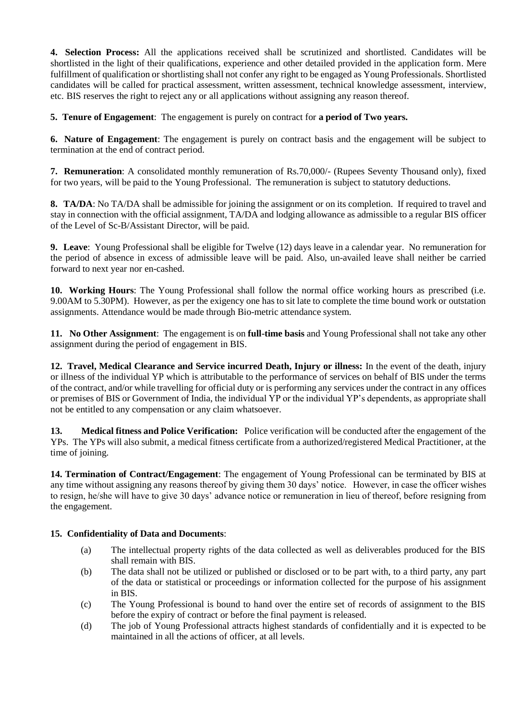**4. Selection Process:** All the applications received shall be scrutinized and shortlisted. Candidates will be shortlisted in the light of their qualifications, experience and other detailed provided in the application form. Mere fulfillment of qualification or shortlisting shall not confer any right to be engaged as Young Professionals. Shortlisted candidates will be called for practical assessment, written assessment, technical knowledge assessment, interview, etc. BIS reserves the right to reject any or all applications without assigning any reason thereof.

**5. Tenure of Engagement**: The engagement is purely on contract for **a period of Two years.**

**6. Nature of Engagement**: The engagement is purely on contract basis and the engagement will be subject to termination at the end of contract period.

**7. Remuneration**: A consolidated monthly remuneration of Rs.70,000/- (Rupees Seventy Thousand only), fixed for two years, will be paid to the Young Professional. The remuneration is subject to statutory deductions.

**8. TA/DA**: No TA/DA shall be admissible for joining the assignment or on its completion. If required to travel and stay in connection with the official assignment, TA/DA and lodging allowance as admissible to a regular BIS officer of the Level of Sc-B/Assistant Director, will be paid.

**9. Leave**: Young Professional shall be eligible for Twelve (12) days leave in a calendar year. No remuneration for the period of absence in excess of admissible leave will be paid. Also, un-availed leave shall neither be carried forward to next year nor en-cashed.

**10. Working Hours**: The Young Professional shall follow the normal office working hours as prescribed (i.e. 9.00AM to 5.30PM). However, as per the exigency one has to sit late to complete the time bound work or outstation assignments. Attendance would be made through Bio-metric attendance system.

**11. No Other Assignment**: The engagement is on **full-time basis** and Young Professional shall not take any other assignment during the period of engagement in BIS.

**12. Travel, Medical Clearance and Service incurred Death, Injury or illness:** In the event of the death, injury or illness of the individual YP which is attributable to the performance of services on behalf of BIS under the terms of the contract, and/or while travelling for official duty or is performing any services under the contract in any offices or premises of BIS or Government of India, the individual YP or the individual YP's dependents, as appropriate shall not be entitled to any compensation or any claim whatsoever.

**13. Medical fitness and Police Verification:** Police verification will be conducted after the engagement of the YPs. The YPs will also submit, a medical fitness certificate from a authorized/registered Medical Practitioner, at the time of joining.

**14. Termination of Contract/Engagement**: The engagement of Young Professional can be terminated by BIS at any time without assigning any reasons thereof by giving them 30 days' notice. However, in case the officer wishes to resign, he/she will have to give 30 days' advance notice or remuneration in lieu of thereof, before resigning from the engagement.

#### **15. Confidentiality of Data and Documents**:

- (a) The intellectual property rights of the data collected as well as deliverables produced for the BIS shall remain with BIS.
- (b) The data shall not be utilized or published or disclosed or to be part with, to a third party, any part of the data or statistical or proceedings or information collected for the purpose of his assignment in BIS.
- (c) The Young Professional is bound to hand over the entire set of records of assignment to the BIS before the expiry of contract or before the final payment is released.
- (d) The job of Young Professional attracts highest standards of confidentially and it is expected to be maintained in all the actions of officer, at all levels.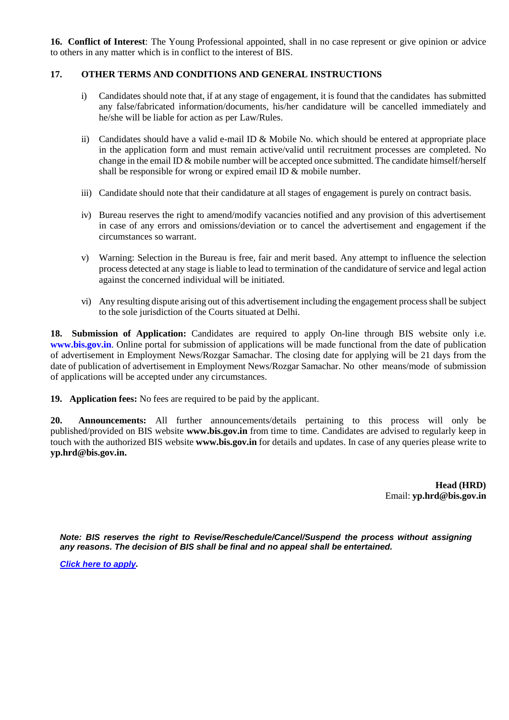**16. Conflict of Interest**: The Young Professional appointed, shall in no case represent or give opinion or advice to others in any matter which is in conflict to the interest of BIS.

### **17. OTHER TERMS AND CONDITIONS AND GENERAL INSTRUCTIONS**

- i) Candidates should note that, if at any stage of engagement, it is found that the candidates has submitted any false/fabricated information/documents, his/her candidature will be cancelled immediately and he/she will be liable for action as per Law/Rules.
- ii) Candidates should have a valid e-mail ID & Mobile No. which should be entered at appropriate place in the application form and must remain active/valid until recruitment processes are completed. No change in the email ID & mobile number will be accepted once submitted. The candidate himself/herself shall be responsible for wrong or expired email ID & mobile number.
- iii) Candidate should note that their candidature at all stages of engagement is purely on contract basis.
- iv) Bureau reserves the right to amend/modify vacancies notified and any provision of this advertisement in case of any errors and omissions/deviation or to cancel the advertisement and engagement if the circumstances so warrant.
- v) Warning: Selection in the Bureau is free, fair and merit based. Any attempt to influence the selection process detected at any stage is liable to lead to termination of the candidature of service and legal action against the concerned individual will be initiated.
- vi) Any resulting dispute arising out of this advertisement including the engagement process shall be subject to the sole jurisdiction of the Courts situated at Delhi.

**18. Submission of Application:** Candidates are required to apply On-line through BIS website only i.e. **[www.bis.gov.in](http://www.bis.gov.in/)**. Online portal for submission of applications will be made functional from the date of publication of advertisement in Employment News/Rozgar Samachar. The closing date for applying will be 21 days from the date of publication of advertisement in Employment News/Rozgar Samachar. No other means/mode of submission of applications will be accepted under any circumstances.

**19. Application fees:** No fees are required to be paid by the applicant.

**20. Announcements:** All further announcements/details pertaining to this process will only be published/provided on BIS website **[www.bis.gov.in](http://www.bis.gov.in/)** from time to time. Candidates are advised to regularly keep in touch with the authorized BIS website **[www.bis.gov.in](http://www.bis.gov.in/)** for details and updates. In case of any queries please write to **[yp.hrd@bis.gov.in.](mailto:yp.hrd@bis.gov.in)**

> **Head (HRD)** Email: **[yp.hrd@bis.gov.in](mailto:yp.hrd@bis.gov.in)**

*Note: BIS reserves the right to Revise/Reschedule/Cancel/Suspend the process without assigning any reasons. The decision of BIS shall be final and no appeal shall be entertained.*

*[Click here to apply.](https://www.services.bis.gov.in/php/BIS_2.0/)*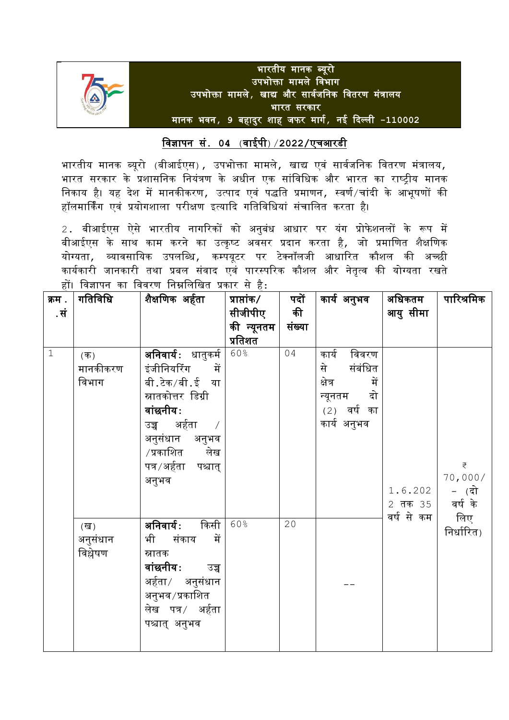

# विज्ञापन सं**. 04** (िाईपी)/**2022/**एचआरडी

भारतीय मानक ब्यूरो (बीआईएस) , उपभोक्ता मामले, खाद्य एवं सार्वजनिक वितरण मंत्रालय, भारत सरकार के प्रशासवनक वनयंत्रण के अधीन एक सांविवधक और भारत का राष्ट्रीय मानक निकाय है। यह देश में मानकीकरण, उत्पाद एवं पद्धति प्रमाणन, स्वर्ण/चांदी के आभूषणों की हॉलमार्किंग एवं प्रयोगशाला परीक्षण इत्यादि गतिविधियां संचालित करता है।

2. बीआईएस ऐसे भारतीय नागरिकों को अनुबंध आधार पर यंग प्रोफेशनलों के रूप में बीआईएस के साथ काम करने का उत्कृष्ट अवसर प्रदान करता है*,* जो प्रमाणित शैक्षणिक योग्यता, व्यािसावयक उपलवब्ध, कम्पयूटर पर टेक्नॉलजी आधाररत कौशल की अच्छी कार्यकारी जानकारी तथा प्रबल संवाद एवं पारस्परिक कौशल और नेतृत्व की योग्यता रखते हों। विज्ञापन का विवरण निम्नलिखित प्रकार से है $\colon$ 

| क्रम . | गतिविधि  | शैक्षणिक अर्हता     | प्राप्तांक/ | पदों   | कार्य अनुभव    | अधिकतम     | पारिश्रमिक |
|--------|----------|---------------------|-------------|--------|----------------|------------|------------|
| .सं    |          |                     | सीजीपीए     | की     |                | आयु सीमा   |            |
|        |          |                     | की न्यूनतम  | संख्या |                |            |            |
|        |          |                     | प्रतिशत     |        |                |            |            |
| $1\,$  | $($ क)   | अनिवार्यः धातुकर्म  | 60%         | 04     | कार्य<br>विवरण |            |            |
|        | मानकीकरण | इंजीनियरिंग<br>्में |             |        | संबंधित<br>से  |            |            |
|        | विभाग    | बी.टेक/बी.ई या      |             |        | में<br>क्षेत्र |            |            |
|        |          | स्नातकोत्तर डिग्री  |             |        | न्यूनतम दो     |            |            |
|        |          | वांछनीय:            |             |        | (2) वर्ष का    |            |            |
|        |          | उच्च अर्हता /       |             |        | कार्य अनुभव    |            |            |
|        |          | अनुसंधान अनुभव      |             |        |                |            |            |
|        |          | /प्रकाशित लेख       |             |        |                |            |            |
|        |          | पत्र/अर्हता पश्चात् |             |        |                |            | ₹          |
|        |          | अनुभव               |             |        |                |            | 70,000/    |
|        |          |                     |             |        |                | 1.6.202    | – (दो      |
|        |          |                     |             |        |                | 2 तक 35 कि |            |
|        | (ख)      | अनिवार्यः किसी      | 60%         | 20     |                | वर्ष से कम | लिए        |
|        | अनुसंधान | भी संकाय<br>में     |             |        |                |            | निर्धारित) |
|        | विश्लेषण | स्नातक              |             |        |                |            |            |
|        |          | वांछनीयः<br>उच्च    |             |        |                |            |            |
|        |          | अर्हता/ अनुसंधान    |             |        |                |            |            |
|        |          | अनुभव ⁄ प्रकाशित    |             |        |                |            |            |
|        |          | लेख पत्र/ अर्हता    |             |        |                |            |            |
|        |          | पश्चात् अनुभव       |             |        |                |            |            |
|        |          |                     |             |        |                |            |            |
|        |          |                     |             |        |                |            |            |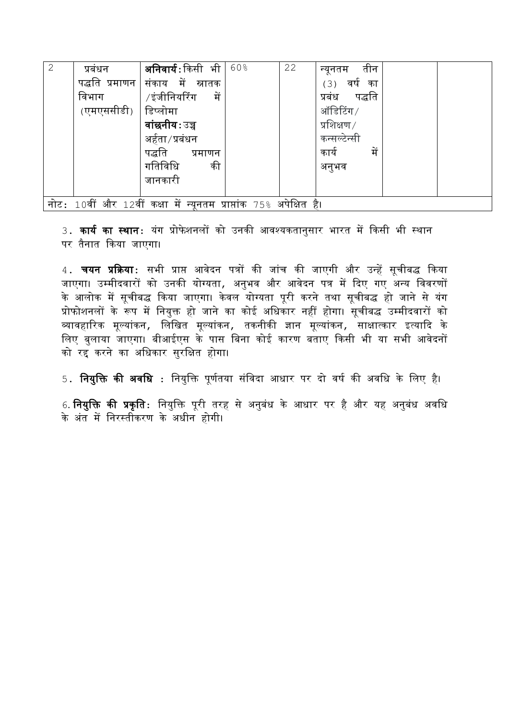| $\overline{2}$                                                       | प्रबंधन        | <b>अनिवार्यः</b> किसी भी | 60% | 22 | तीन<br>न्यूनतम   |  |  |
|----------------------------------------------------------------------|----------------|--------------------------|-----|----|------------------|--|--|
|                                                                      | पद्धति प्रमाणन | संकाय में स्नातक         |     |    | (3)<br>वर्ष का   |  |  |
|                                                                      | विभाग          | ∕ इंजीनियरिंग<br>में     |     |    | पद्धति<br>प्रबंध |  |  |
|                                                                      | (एमएससीडी)     | डिप्लोमा                 |     |    | ऑडिटिंग/         |  |  |
|                                                                      |                | वांछनीयःउच्च             |     |    | प्रशिक्षण $/$    |  |  |
|                                                                      |                | अर्हता ⁄ प्रबंधन         |     |    | कन्सल्टेन्सी     |  |  |
|                                                                      |                | पद्धति<br>प्रमाणन        |     |    | कार्य<br>में     |  |  |
|                                                                      |                | गतिविधि<br>की            |     |    | अनुभव            |  |  |
|                                                                      |                | जानकारी                  |     |    |                  |  |  |
|                                                                      |                |                          |     |    |                  |  |  |
| नोट: 10वीं और 12वीं कक्षा में न्यूनतम प्राप्तांक 75% अपेक्षित<br>है। |                |                          |     |    |                  |  |  |

3. **कार्य का स्थान**: यंग प्रोफेशनलों को उनकी आवश्यकतानुसार भारत में किसी भी स्थान पर तैनात दकया जाएगा।

4. चयन प्रदक्रया**:** सभी प्राप् आिेदन पत्रों की जांच की जाएगी और उन्हें सूचीबद्ध दकया जाएगा। उम्मीदवारों को उनकी योग्यता, अनुभव और आवेदन पत्र में दिए गए अन्य विवरणों के आलोक में सूचीबद्ध किया जाएगा। केवल योग्यता पूरी करने तथा सूचीबद्ध हो जाने से यंग प्रोफोशनलों के रूप में वनयुक्त हो जाने का कोई अवधकार नहीं होगा। सूचीबद्ध उममीदिारों को व्यावहारिक मूल्यांकन, लिखित मूल्यांकन, तकनीकी ज्ञान मूल्यांकन, साक्षात्कार इत्यादि के वलए बुलाया जाएगा। बीआईएस के पास वबना कोई कारण बताए दकसी भी या सभी आिेदनों को रद्द करने का अवधकार सुरवक्षत होगा।

5. **नियक्ति की अवधि** : नियुक्ति पूर्णतया संविदा आधार पर दो वर्ष की अवधि के लिए है।

6. **नियुक्ति की प्रकृति:** नियुक्ति पूरी तरह से अनुबंध के आधार पर है और यह अनुबंध अवधि के अंत में निरस्तीकरण के अधीन होगी।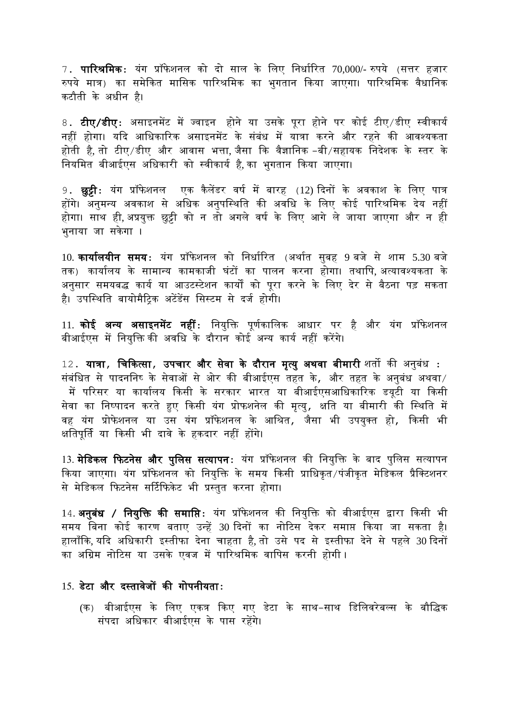$7.$  **पारिश्रमिक**: यंग प्रॉफेशनल को दो साल के लिए निर्धारित 70,000/- रुपये (सत्तर हजार रुपये मात्र) का समेकित मासिक पारिश्रमिक का भगतान किया जाएगा। पारिश्रमिक वैधानिक कटौती के अधीन है।

8**. टीए/डीए:** असाइनमेंट में ज्वाइन होने या उसके पूरा होने पर कोई टीए/डीए स्वीकार्य नहीं होगा। यदि आधिकारिक असाइनमेंट के संबंध में यात्रा करने और रहने की आवश्यकता होती है, तो टीए/डीए और आवास भत्ता, जैसा कि वैज्ञानिक -बी/सहायक निदेशक के स्तर के नियमित बीआईएस अधिकारी को स्वीकार्य है, का भुगतान किया जाएगा।

9**. छुट्टी:** यंग प्रॉफेशनल एक कैलेंडर वर्ष में बारह (12) दिनों के अवकाश के लिए पात्र होंगे। अनुमन्य अिकाश से अवधक अनुपवस्थवत की अिवध के वलए कोई पाररश्रवमक देय नहीं होगा। साथ ही, अप्रयुक्त छुट्टी को न तो अगले वर्ष के लिए आगे ले जाया जाएगा और न ही भुनाया जा सकेगा ।

10. **कार्यालयीन समय:** यंग प्रॉफेशनल को निर्धारित (अर्थात सुबह 9 बजे से शाम 5.30 बजे तक) कार्यालय के सामान्य कामकाजी घंटों का पालन करना होगा। तथापि अत्यावश्यकता के अनुसार समयबद्ध कार्य या आउटस्टेशन कार्यों को पूरा करने के लिए देर से बैठना पड़ सकता है। उपस्थिति बायोमैटिक अटेंडेंस सिस्टम से दर्ज होगी।

11. **कोई अन्य असाइनमेंट नहीं:** नियुक्ति पूर्णकालिक आधार पर है और यंग प्रॉफेशनल बीआईएस में नियुक्ति की अवधि के दौरान कोई अन्य कार्य नहीं करेंगे।

12. यात्रा, चिकित्सा, उपचार और सेवा के दौरान मृत्यु अथवा बीमारी शर्तो की अनुबंध : संबंधित से पादननिष् के सेवाओं से ओर की बीआईएस तहत के, और तहत के अनुबंध अथवा*/* में पररसर या कायावलय दकसी के सरकार भारत या बीआईएसआवधकाररक डयूटी या दकसी सेवा का निष्पादन करते हुए किसी यंग प्रोफशनेल की मृत्यु, क्षति या बीमारी की स्थिति में िह यंग प्रोफे शनल या उस यंग प्रॉफे शनल के आवश्रत, जैसा भी उपयुक्त हो, दकसी भी क्षतिपूर्ति या किसी भी दावे के हकदार नहीं होंगे।

13. **मेडिकल फिटनेस और पुलिस सत्यापन:** यंग प्रॉफेशनल की नियुक्ति के बाद पुलिस सत्यापन किया जाएगा। यंग प्रॉफेशनल को नियुक्ति के समय किसी प्राधिकृत /पंजीकृत मेडिकल प्रैक्टिशनर से मेडिकल फिटनेस सर्टिफिकेट भी प्रस्तुत करना होगा।

14. **अनुबंध / नियुक्ति की समाप्ति:** यंग प्रॉफेशनल की नियुक्ति को बीआईएस द्वारा किसी भी समय वबना कोई कारण बताए उन्हें 30 ददनों का नोरटस देकर समाप् दकया जा सकता है। हालाँकि, यदि अधिकारी इस्तीफा देना चाहता है, तो उसे पद से इस्तीफा देने से पहले 30 दिनों का अग्रिम नोटिस या उसके एवज में पारिश्रमिक वापिस करनी होगी ।

## 15.डेटा और दस्तािेजों की गोपनीयता**:**

(क) बीआईएस के लिए एकत्र किए गए डेटा के साथ–साथ डिलिवरेबल्स के बौद्धिक संपदा अवधकार बीआईएस के पास रहेंगे।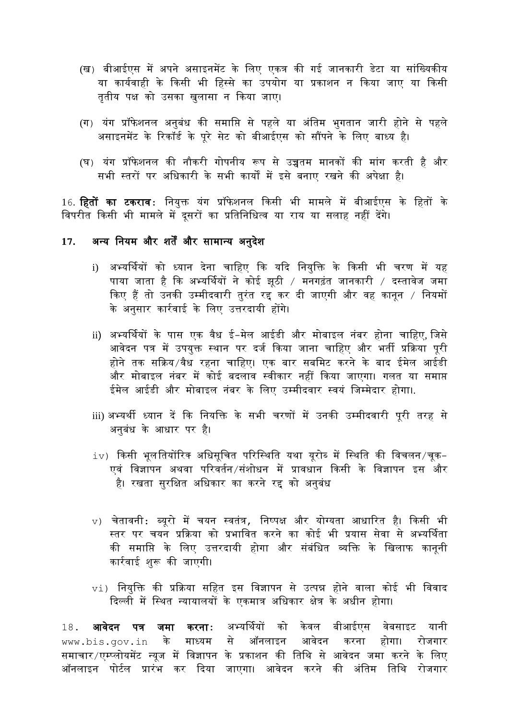- (ख) बीआईएस मेंअपने असाइनमेंट के वलए एकत्र की गई जानकारी डेटा या सांवख्यकीय या कार्यवाही के किसी भी हिस्से का उपयोग या प्रकाशन न किया जाए या किसी तृतीय पक्ष को उसका खुलासा न दकया जाए।
- (ग) यंग प्रॉफेशनल अनुबंध की समाप्ति से पहले या अंतिम भुगतान जारी होने से पहले असाइनमेंट के रिकॉर्ड के पूरे सेट को बीआईएस को सौंपने के लिए बाध्य है।
- (घ) यंग प्रॉफे शनल की नौकरी गोपनीय रूप से उच्चतम मानकों की मांग करती है और सभी स्तरों पर अवधकारी के सभी कायों मेंइसे बनाए रखने की अपेक्षा है।

16. **हितों का टकराव:** नियुक्त यंग प्रॉफेशनल किसी भी मामले में बीआईएस के हितों के विपरीत किसी भी मामले में दूसरों का प्रतिनिधित्व या राय या सलाह नहीं देंगे।

## **17.** अन्य वनयम और शतेंऔर सामान्य अनुदेश

- i) अभ्यर्थवयों को ध्यान देना चावहए दक यदद वनयुवक्त के दकसी भी चरण में यह पाया जाता है दक अभ्यर्थवयों ने कोई झूठी / मनगढंत जानकारी / दस्तािेज जमा किए हैं तो उनकी उम्मीदवारी तुरंत रद्द कर दी जाएगी और वह कानून / नियमों के अनुसार कारविाई के वलए उत्तरदायी होंगे।
- ii) अभ्यर्थियों के पास एक वैध ई-मेल आईडी और मोबाइल नंबर होना चाहिए, जिसे आवेदन पत्र में उपयुक्त स्थान पर दर्ज किया जाना चाहिए और भर्ती प्रक्रिया पूरी होने तक सदक्रय/िैध रहना चावहए। एक बार सबवमट करने के बाद ईमेल आईडी और मोबाइल नंबर में कोई बदलाव स्वीकार नहीं किया जाएगा। गलत या समाप्त ईमेल आईडी और मोबाइल नंबर के लिए उम्मीदवार स्वयं जिम्मेदार होगा।.
- iii) अभ्यर्थी ध्यान दें कि नियक्ति के सभी चरणों में उनकी उम्मीदवारी पूरी तरह से अनुबंध के आधार पर है।
- $\pm v$ ) किसी भूलतियोंरिक अधिसूचित परिस्थिति यथा यूरोब् में स्थिति की विचलन/चूक-एवं विज्ञापन अथवा परिवर्तन/संशोधन में प्रावधान किसी के विज्ञापन इस और है। रखता सरक्षित अधिकार का करने रह को अनबंध
- $v$ ) चेतावनी: ब्यूरो में चयन स्वतंत्र, निष्पक्ष और योग्यता आधारित है। किसी भी स्तर पर चयन प्रक्रिया को प्रभावित करने का कोई भी प्रयास सेवा से अभ्यर्थिता की समावप् के वलए उत्तरदायी होगा और संबंवधत व्यवक्त के वखलाफ कानूनी कारविाई शुरू की जाएगी।
- $_{\rm V1}$ ) नियक्ति की प्रक्रिया सहित इस विज्ञापन से उत्पन्न होने वाला कोई भी विवाद दिल्ली में स्थित न्यायालयों के एकमात्र अधिकार क्षेत्र के अधीन होगा।

18**. आवेदन पत्र जमा करना:** अभ्यर्थियों को केवल बीआईएस वेबसाइट यानी www.bis.gov.in के माध्यम से ऑनलाइन आवेदन करना होगा। रोजगार समाचार/एम्प्लोयमेंट न्यूज में विज्ञापन के प्रकाशन की तिथि से आवेदन जमा करने के लिए ऑनलाइन पोर्टल प्रारंभ कर दिया जाएगा। आवेदन करने की अंतिम तिथि रोजगार